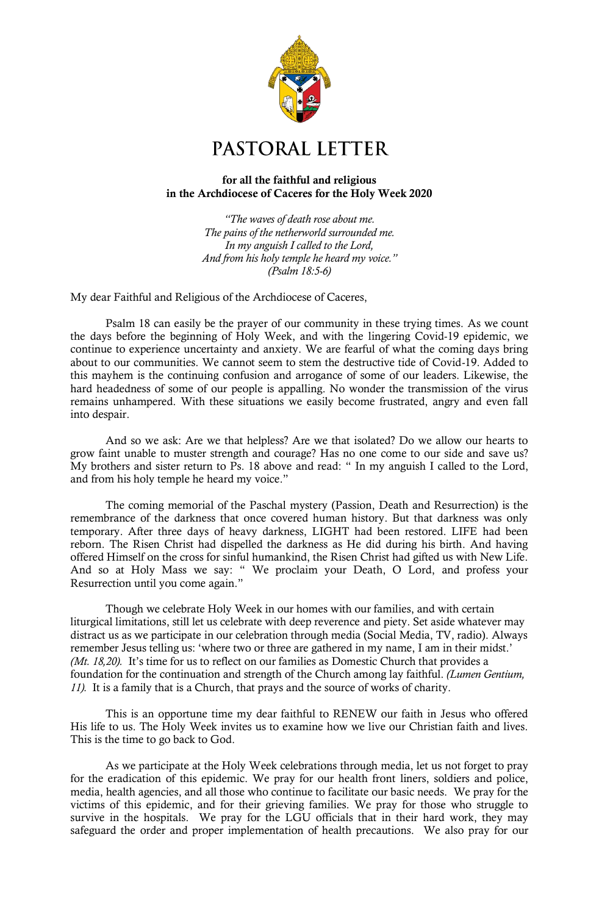

## PASTORAL LETTER

## for all the faithful and religious in the Archdiocese of Caceres for the Holy Week 2020

*"The waves of death rose about me. The pains of the netherworld surrounded me. In my anguish I called to the Lord, And from his holy temple he heard my voice." (Psalm 18:5-6)*

My dear Faithful and Religious of the Archdiocese of Caceres,

Psalm 18 can easily be the prayer of our community in these trying times. As we count the days before the beginning of Holy Week, and with the lingering Covid-19 epidemic, we continue to experience uncertainty and anxiety. We are fearful of what the coming days bring about to our communities. We cannot seem to stem the destructive tide of Covid-19. Added to this mayhem is the continuing confusion and arrogance of some of our leaders. Likewise, the hard headedness of some of our people is appalling. No wonder the transmission of the virus remains unhampered. With these situations we easily become frustrated, angry and even fall into despair.

And so we ask: Are we that helpless? Are we that isolated? Do we allow our hearts to grow faint unable to muster strength and courage? Has no one come to our side and save us? My brothers and sister return to Ps. 18 above and read: " In my anguish I called to the Lord, and from his holy temple he heard my voice."

The coming memorial of the Paschal mystery (Passion, Death and Resurrection) is the remembrance of the darkness that once covered human history. But that darkness was only temporary. After three days of heavy darkness, LIGHT had been restored. LIFE had been reborn. The Risen Christ had dispelled the darkness as He did during his birth. And having offered Himself on the cross for sinful humankind, the Risen Christ had gifted us with New Life. And so at Holy Mass we say: " We proclaim your Death, O Lord, and profess your Resurrection until you come again."

Though we celebrate Holy Week in our homes with our families, and with certain liturgical limitations, still let us celebrate with deep reverence and piety. Set aside whatever may distract us as we participate in our celebration through media (Social Media, TV, radio). Always remember Jesus telling us: 'where two or three are gathered in my name, I am in their midst.' *(Mt. 18,20).* It's time for us to reflect on our families as Domestic Church that provides a foundation for the continuation and strength of the Church among lay faithful. *(Lumen Gentium, 11).* It is a family that is a Church, that prays and the source of works of charity.

This is an opportune time my dear faithful to RENEW our faith in Jesus who offered His life to us. The Holy Week invites us to examine how we live our Christian faith and lives. This is the time to go back to God.

As we participate at the Holy Week celebrations through media, let us not forget to pray for the eradication of this epidemic. We pray for our health front liners, soldiers and police, media, health agencies, and all those who continue to facilitate our basic needs. We pray for the victims of this epidemic, and for their grieving families. We pray for those who struggle to survive in the hospitals. We pray for the LGU officials that in their hard work, they may safeguard the order and proper implementation of health precautions. We also pray for our